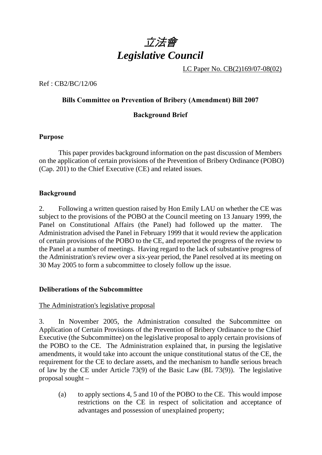

LC Paper No. CB(2)169/07-08(02)

Ref : CB2/BC/12/06

# **Bills Committee on Prevention of Bribery (Amendment) Bill 2007**

## **Background Brief**

### **Purpose**

 This paper provides background information on the past discussion of Members on the application of certain provisions of the Prevention of Bribery Ordinance (POBO) (Cap. 201) to the Chief Executive (CE) and related issues.

### **Background**

2. Following a written question raised by Hon Emily LAU on whether the CE was subject to the provisions of the POBO at the Council meeting on 13 January 1999, the Panel on Constitutional Affairs (the Panel) had followed up the matter. The Administration advised the Panel in February 1999 that it would review the application of certain provisions of the POBO to the CE, and reported the progress of the review to the Panel at a number of meetings. Having regard to the lack of substantive progress of the Administration's review over a six-year period, the Panel resolved at its meeting on 30 May 2005 to form a subcommittee to closely follow up the issue.

### **Deliberations of the Subcommittee**

### The Administration's legislative proposal

3. In November 2005, the Administration consulted the Subcommittee on Application of Certain Provisions of the Prevention of Bribery Ordinance to the Chief Executive (the Subcommittee) on the legislative proposal to apply certain provisions of the POBO to the CE. The Administration explained that, in pursing the legislative amendments, it would take into account the unique constitutional status of the CE, the requirement for the CE to declare assets, and the mechanism to handle serious breach of law by the CE under Article 73(9) of the Basic Law (BL 73(9)). The legislative proposal sought –

(a) to apply sections 4, 5 and 10 of the POBO to the CE. This would impose restrictions on the CE in respect of solicitation and acceptance of advantages and possession of unexplained property;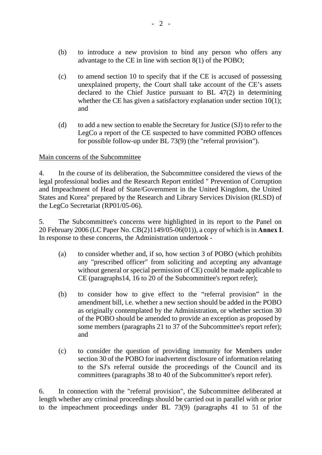- (b) to introduce a new provision to bind any person who offers any advantage to the CE in line with section 8(1) of the POBO;
- (c) to amend section 10 to specify that if the CE is accused of possessing unexplained property, the Court shall take account of the CE's assets declared to the Chief Justice pursuant to BL 47(2) in determining whether the CE has given a satisfactory explanation under section 10(1); and
- (d) to add a new section to enable the Secretary for Justice (SJ) to refer to the LegCo a report of the CE suspected to have committed POBO offences for possible follow-up under BL 73(9) (the "referral provision").

### Main concerns of the Subcommittee

4. In the course of its deliberation, the Subcommittee considered the views of the legal professional bodies and the Research Report entitled " Prevention of Corruption and Impeachment of Head of State/Government in the United Kingdom, the United States and Korea" prepared by the Research and Library Services Division (RLSD) of the LegCo Secretariat (RP01/05-06).

5. The Subcommittee's concerns were highlighted in its report to the Panel on 20 February 2006 (LC Paper No. CB(2)1149/05-06(01)), a copy of which is in **Annex I**. In response to these concerns, the Administration undertook -

- (a) to consider whether and, if so, how section 3 of POBO (which prohibits any "prescribed officer" from soliciting and accepting any advantage without general or special permission of CE) could be made applicable to CE (paragraphs14, 16 to 20 of the Subcommittee's report refer);
- (b) to consider how to give effect to the "referral provision" in the amendment bill, i.e. whether a new section should be added in the POBO as originally contemplated by the Administration, or whether section 30 of the POBO should be amended to provide an exception as proposed by some members (paragraphs 21 to 37 of the Subcommittee's report refer); and
- (c) to consider the question of providing immunity for Members under section 30 of the POBO for inadvertent disclosure of information relating to the SJ's referral outside the proceedings of the Council and its committees (paragraphs 38 to 40 of the Subcommittee's report refer).

6. In connection with the "referral provision", the Subcommittee deliberated at length whether any criminal proceedings should be carried out in parallel with or prior to the impeachment proceedings under BL 73(9) (paragraphs 41 to 51 of the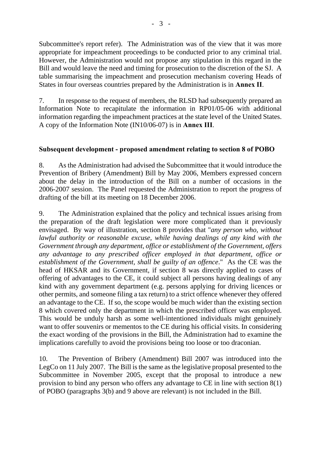Subcommittee's report refer). The Administration was of the view that it was more appropriate for impeachment proceedings to be conducted prior to any criminal trial. However, the Administration would not propose any stipulation in this regard in the Bill and would leave the need and timing for prosecution to the discretion of the SJ. A table summarising the impeachment and prosecution mechanism covering Heads of States in four overseas countries prepared by the Administration is in **Annex II**.

7. In response to the request of members, the RLSD had subsequently prepared an Information Note to recapitulate the information in RP01/05-06 with additional information regarding the impeachment practices at the state level of the United States. A copy of the Information Note (IN10/06-07) is in **Annex III**.

# **Subsequent development - proposed amendment relating to section 8 of POBO**

8. As the Administration had advised the Subcommittee that it would introduce the Prevention of Bribery (Amendment) Bill by May 2006, Members expressed concern about the delay in the introduction of the Bill on a number of occasions in the 2006-2007 session. The Panel requested the Administration to report the progress of drafting of the bill at its meeting on 18 December 2006.

9. The Administration explained that the policy and technical issues arising from the preparation of the draft legislation were more complicated than it previously envisaged. By way of illustration, section 8 provides that "*any person who, without lawful authority or reasonable excuse, while having dealings of any kind with the Government through any department, office or establishment of the Government, offers any advantage to any prescribed officer employed in that department, office or establishment of the Government, shall be guilty of an offence*." As the CE was the head of HKSAR and its Government, if section 8 was directly applied to cases of offering of advantages to the CE, it could subject all persons having dealings of any kind with any government department (e.g. persons applying for driving licences or other permits, and someone filing a tax return) to a strict offence whenever they offered an advantage to the CE. If so, the scope would be much wider than the existing section 8 which covered only the department in which the prescribed officer was employed. This would be unduly harsh as some well-intentioned individuals might genuinely want to offer souvenirs or mementos to the CE during his official visits. In considering the exact wording of the provisions in the Bill, the Administration had to examine the implications carefully to avoid the provisions being too loose or too draconian.

10. The Prevention of Bribery (Amendment) Bill 2007 was introduced into the LegCo on 11 July 2007. The Bill is the same as the legislative proposal presented to the Subcommittee in November 2005, except that the proposal to introduce a new provision to bind any person who offers any advantage to CE in line with section 8(1) of POBO (paragraphs 3(b) and 9 above are relevant) is not included in the Bill.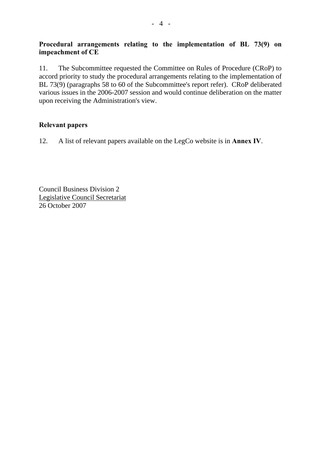# **Procedural arrangements relating to the implementation of BL 73(9) on impeachment of CE**

11. The Subcommittee requested the Committee on Rules of Procedure (CRoP) to accord priority to study the procedural arrangements relating to the implementation of BL 73(9) (paragraphs 58 to 60 of the Subcommittee's report refer). CRoP deliberated various issues in the 2006-2007 session and would continue deliberation on the matter upon receiving the Administration's view.

# **Relevant papers**

12. A list of relevant papers available on the LegCo website is in **Annex IV**.

Council Business Division 2 Legislative Council Secretariat 26 October 2007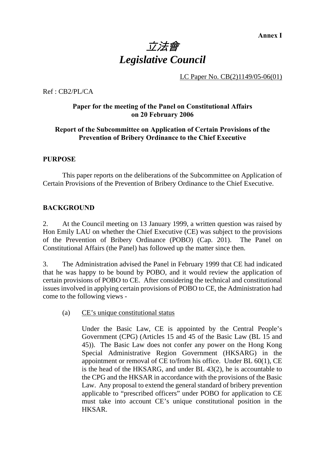**Annex I** 

# 立法會 *Legislative Council*

LC Paper No. CB(2)1149/05-06(01)

Ref : CB2/PL/CA

#### **Paper for the meeting of the Panel on Constitutional Affairs on 20 February 2006**

#### **Report of the Subcommittee on Application of Certain Provisions of the Prevention of Bribery Ordinance to the Chief Executive**

#### **PURPOSE**

 This paper reports on the deliberations of the Subcommittee on Application of Certain Provisions of the Prevention of Bribery Ordinance to the Chief Executive.

#### **BACKGROUND**

2. At the Council meeting on 13 January 1999, a written question was raised by Hon Emily LAU on whether the Chief Executive (CE) was subject to the provisions of the Prevention of Bribery Ordinance (POBO) (Cap. 201). The Panel on Constitutional Affairs (the Panel) has followed up the matter since then.

3. The Administration advised the Panel in February 1999 that CE had indicated that he was happy to be bound by POBO, and it would review the application of certain provisions of POBO to CE. After considering the technical and constitutional issues involved in applying certain provisions of POBO to CE, the Administration had come to the following views -

(a) CE's unique constitutional status

Under the Basic Law, CE is appointed by the Central People's Government (CPG) (Articles 15 and 45 of the Basic Law (BL 15 and 45)). The Basic Law does not confer any power on the Hong Kong Special Administrative Region Government (HKSARG) in the appointment or removal of CE to/from his office. Under BL 60(1), CE is the head of the HKSARG, and under BL 43(2), he is accountable to the CPG and the HKSAR in accordance with the provisions of the Basic Law. Any proposal to extend the general standard of bribery prevention applicable to "prescribed officers" under POBO for application to CE must take into account CE's unique constitutional position in the HKSAR.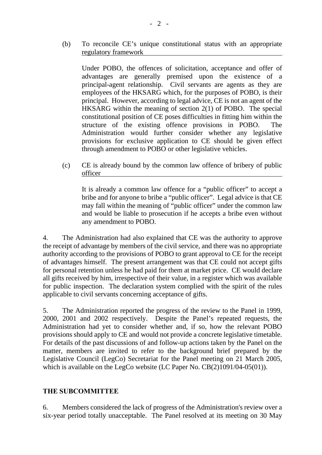(b) To reconcile CE's unique constitutional status with an appropriate regulatory framework

Under POBO, the offences of solicitation, acceptance and offer of advantages are generally premised upon the existence of a principal-agent relationship. Civil servants are agents as they are employees of the HKSARG which, for the purposes of POBO, is their principal. However, according to legal advice, CE is not an agent of the HKSARG within the meaning of section 2(1) of POBO. The special constitutional position of CE poses difficulties in fitting him within the structure of the existing offence provisions in POBO. The Administration would further consider whether any legislative provisions for exclusive application to CE should be given effect through amendment to POBO or other legislative vehicles.

(c) CE is already bound by the common law offence of bribery of public officer

It is already a common law offence for a "public officer" to accept a bribe and for anyone to bribe a "public officer". Legal advice is that CE may fall within the meaning of "public officer" under the common law and would be liable to prosecution if he accepts a bribe even without any amendment to POBO.

4. The Administration had also explained that CE was the authority to approve the receipt of advantage by members of the civil service, and there was no appropriate authority according to the provisions of POBO to grant approval to CE for the receipt of advantages himself. The present arrangement was that CE could not accept gifts for personal retention unless he had paid for them at market price. CE would declare all gifts received by him, irrespective of their value, in a register which was available for public inspection. The declaration system complied with the spirit of the rules applicable to civil servants concerning acceptance of gifts.

5. The Administration reported the progress of the review to the Panel in 1999, 2000, 2001 and 2002 respectively. Despite the Panel's repeated requests, the Administration had yet to consider whether and, if so, how the relevant POBO provisions should apply to CE and would not provide a concrete legislative timetable. For details of the past discussions of and follow-up actions taken by the Panel on the matter, members are invited to refer to the background brief prepared by the Legislative Council (LegCo) Secretariat for the Panel meeting on 21 March 2005, which is available on the LegCo website (LC Paper No. CB(2)1091/04-05(01)).

#### **THE SUBCOMMITTEE**

6. Members considered the lack of progress of the Administration's review over a six-year period totally unacceptable. The Panel resolved at its meeting on 30 May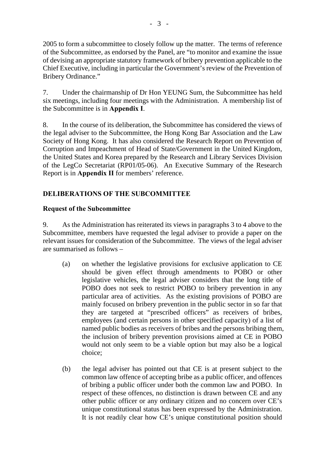2005 to form a subcommittee to closely follow up the matter. The terms of reference of the Subcommittee, as endorsed by the Panel, are "to monitor and examine the issue of devising an appropriate statutory framework of bribery prevention applicable to the Chief Executive, including in particular the Government's review of the Prevention of Bribery Ordinance."

7. Under the chairmanship of Dr Hon YEUNG Sum, the Subcommittee has held six meetings, including four meetings with the Administration. A membership list of the Subcommittee is in **Appendix I**.

8. In the course of its deliberation, the Subcommittee has considered the views of the legal adviser to the Subcommittee, the Hong Kong Bar Association and the Law Society of Hong Kong. It has also considered the Research Report on Prevention of Corruption and Impeachment of Head of State/Government in the United Kingdom, the United States and Korea prepared by the Research and Library Services Division of the LegCo Secretariat (RP01/05-06). An Executive Summary of the Research Report is in **Appendix II** for members' reference.

# **DELIBERATIONS OF THE SUBCOMMITTEE**

### **Request of the Subcommittee**

9. As the Administration has reiterated its views in paragraphs 3 to 4 above to the Subcommittee, members have requested the legal adviser to provide a paper on the relevant issues for consideration of the Subcommittee. The views of the legal adviser are summarised as follows –

- (a) on whether the legislative provisions for exclusive application to CE should be given effect through amendments to POBO or other legislative vehicles, the legal adviser considers that the long title of POBO does not seek to restrict POBO to bribery prevention in any particular area of activities. As the existing provisions of POBO are mainly focused on bribery prevention in the public sector in so far that they are targeted at "prescribed officers" as receivers of bribes, employees (and certain persons in other specified capacity) of a list of named public bodies as receivers of bribes and the persons bribing them, the inclusion of bribery prevention provisions aimed at CE in POBO would not only seem to be a viable option but may also be a logical choice;
- (b) the legal adviser has pointed out that CE is at present subject to the common law offence of accepting bribe as a public officer, and offences of bribing a public officer under both the common law and POBO. In respect of these offences, no distinction is drawn between CE and any other public officer or any ordinary citizen and no concern over CE's unique constitutional status has been expressed by the Administration. It is not readily clear how CE's unique constitutional position should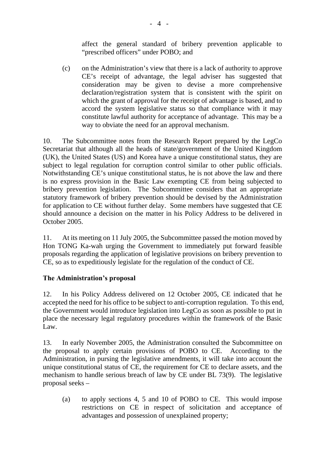affect the general standard of bribery prevention applicable to "prescribed officers" under POBO; and

(c) on the Administration's view that there is a lack of authority to approve CE's receipt of advantage, the legal adviser has suggested that consideration may be given to devise a more comprehensive declaration/registration system that is consistent with the spirit on which the grant of approval for the receipt of advantage is based, and to accord the system legislative status so that compliance with it may constitute lawful authority for acceptance of advantage. This may be a way to obviate the need for an approval mechanism.

10. The Subcommittee notes from the Research Report prepared by the LegCo Secretariat that although all the heads of state/government of the United Kingdom (UK), the United States (US) and Korea have a unique constitutional status, they are subject to legal regulation for corruption control similar to other public officials. Notwithstanding CE's unique constitutional status, he is not above the law and there is no express provision in the Basic Law exempting CE from being subjected to bribery prevention legislation. The Subcommittee considers that an appropriate statutory framework of bribery prevention should be devised by the Administration for application to CE without further delay. Some members have suggested that CE should announce a decision on the matter in his Policy Address to be delivered in October 2005.

11. At its meeting on 11 July 2005, the Subcommittee passed the motion moved by Hon TONG Ka-wah urging the Government to immediately put forward feasible proposals regarding the application of legislative provisions on bribery prevention to CE, so as to expeditiously legislate for the regulation of the conduct of CE.

### **The Administration's proposal**

12. In his Policy Address delivered on 12 October 2005, CE indicated that he accepted the need for his office to be subject to anti-corruption regulation. To this end, the Government would introduce legislation into LegCo as soon as possible to put in place the necessary legal regulatory procedures within the framework of the Basic Law.

13. In early November 2005, the Administration consulted the Subcommittee on the proposal to apply certain provisions of POBO to CE. According to the Administration, in pursing the legislative amendments, it will take into account the unique constitutional status of CE, the requirement for CE to declare assets, and the mechanism to handle serious breach of law by CE under BL 73(9). The legislative proposal seeks –

(a) to apply sections 4, 5 and 10 of POBO to CE. This would impose restrictions on CE in respect of solicitation and acceptance of advantages and possession of unexplained property;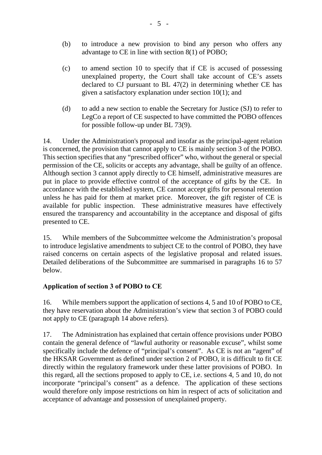- (b) to introduce a new provision to bind any person who offers any advantage to CE in line with section 8(1) of POBO;
- (c) to amend section 10 to specify that if CE is accused of possessing unexplained property, the Court shall take account of CE's assets declared to CJ pursuant to BL 47(2) in determining whether CE has given a satisfactory explanation under section 10(1); and
- (d) to add a new section to enable the Secretary for Justice (SJ) to refer to LegCo a report of CE suspected to have committed the POBO offences for possible follow-up under BL 73(9).

14. Under the Administration's proposal and insofar as the principal-agent relation is concerned, the provision that cannot apply to CE is mainly section 3 of the POBO. This section specifies that any "prescribed officer" who, without the general or special permission of the CE, solicits or accepts any advantage, shall be guilty of an offence. Although section 3 cannot apply directly to CE himself, administrative measures are put in place to provide effective control of the acceptance of gifts by the CE. In accordance with the established system, CE cannot accept gifts for personal retention unless he has paid for them at market price. Moreover, the gift register of CE is available for public inspection. These administrative measures have effectively ensured the transparency and accountability in the acceptance and disposal of gifts presented to CE.

15. While members of the Subcommittee welcome the Administration's proposal to introduce legislative amendments to subject CE to the control of POBO, they have raised concerns on certain aspects of the legislative proposal and related issues. Detailed deliberations of the Subcommittee are summarised in paragraphs 16 to 57 below.

# **Application of section 3 of POBO to CE**

16. While members support the application of sections 4, 5 and 10 of POBO to CE, they have reservation about the Administration's view that section 3 of POBO could not apply to CE (paragraph 14 above refers).

17. The Administration has explained that certain offence provisions under POBO contain the general defence of "lawful authority or reasonable excuse", whilst some specifically include the defence of "principal's consent". As CE is not an "agent" of the HKSAR Government as defined under section 2 of POBO, it is difficult to fit CE directly within the regulatory framework under these latter provisions of POBO. In this regard, all the sections proposed to apply to CE, i.e. sections 4, 5 and 10, do not incorporate "principal's consent" as a defence. The application of these sections would therefore only impose restrictions on him in respect of acts of solicitation and acceptance of advantage and possession of unexplained property.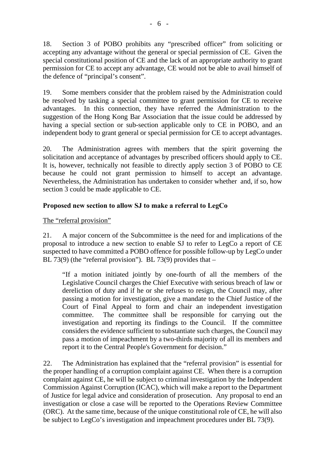18. Section 3 of POBO prohibits any "prescribed officer" from soliciting or accepting any advantage without the general or special permission of CE. Given the special constitutional position of CE and the lack of an appropriate authority to grant permission for CE to accept any advantage, CE would not be able to avail himself of the defence of "principal's consent".

19. Some members consider that the problem raised by the Administration could be resolved by tasking a special committee to grant permission for CE to receive advantages. In this connection, they have referred the Administration to the suggestion of the Hong Kong Bar Association that the issue could be addressed by having a special section or sub-section applicable only to CE in POBO, and an independent body to grant general or special permission for CE to accept advantages.

20. The Administration agrees with members that the spirit governing the solicitation and acceptance of advantages by prescribed officers should apply to CE. It is, however, technically not feasible to directly apply section 3 of POBO to CE because he could not grant permission to himself to accept an advantage. Nevertheless, the Administration has undertaken to consider whether and, if so, how section 3 could be made applicable to CE.

# **Proposed new section to allow SJ to make a referral to LegCo**

#### The "referral provision"

21. A major concern of the Subcommittee is the need for and implications of the proposal to introduce a new section to enable SJ to refer to LegCo a report of CE suspected to have committed a POBO offence for possible follow-up by LegCo under BL 73(9) (the "referral provision"). BL 73(9) provides that  $-$ 

"If a motion initiated jointly by one-fourth of all the members of the Legislative Council charges the Chief Executive with serious breach of law or dereliction of duty and if he or she refuses to resign, the Council may, after passing a motion for investigation, give a mandate to the Chief Justice of the Court of Final Appeal to form and chair an independent investigation committee. The committee shall be responsible for carrying out the investigation and reporting its findings to the Council. If the committee considers the evidence sufficient to substantiate such charges, the Council may pass a motion of impeachment by a two-thirds majority of all its members and report it to the Central People's Government for decision."

22. The Administration has explained that the "referral provision" is essential for the proper handling of a corruption complaint against CE. When there is a corruption complaint against CE, he will be subject to criminal investigation by the Independent Commission Against Corruption (ICAC), which will make a report to the Department of Justice for legal advice and consideration of prosecution. Any proposal to end an investigation or close a case will be reported to the Operations Review Committee (ORC). At the same time, because of the unique constitutional role of CE, he will also be subject to LegCo's investigation and impeachment procedures under BL 73(9).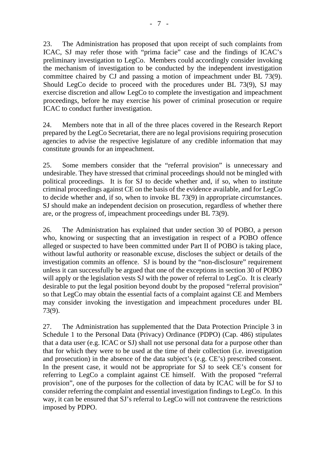23. The Administration has proposed that upon receipt of such complaints from ICAC, SJ may refer those with "prima facie" case and the findings of ICAC's preliminary investigation to LegCo. Members could accordingly consider invoking the mechanism of investigation to be conducted by the independent investigation committee chaired by CJ and passing a motion of impeachment under BL 73(9). Should LegCo decide to proceed with the procedures under BL 73(9), SJ may exercise discretion and allow LegCo to complete the investigation and impeachment proceedings, before he may exercise his power of criminal prosecution or require ICAC to conduct further investigation.

24. Members note that in all of the three places covered in the Research Report prepared by the LegCo Secretariat, there are no legal provisions requiring prosecution agencies to advise the respective legislature of any credible information that may constitute grounds for an impeachment.

25. Some members consider that the "referral provision" is unnecessary and undesirable. They have stressed that criminal proceedings should not be mingled with political proceedings. It is for SJ to decide whether and, if so, when to institute criminal proceedings against CE on the basis of the evidence available, and for LegCo to decide whether and, if so, when to invoke BL 73(9) in appropriate circumstances. SJ should make an independent decision on prosecution, regardless of whether there are, or the progress of, impeachment proceedings under BL 73(9).

26. The Administration has explained that under section 30 of POBO, a person who, knowing or suspecting that an investigation in respect of a POBO offence alleged or suspected to have been committed under Part II of POBO is taking place, without lawful authority or reasonable excuse, discloses the subject or details of the investigation commits an offence. SJ is bound by the "non-disclosure" requirement unless it can successfully be argued that one of the exceptions in section 30 of POBO will apply or the legislation vests SJ with the power of referral to LegCo. It is clearly desirable to put the legal position beyond doubt by the proposed "referral provision" so that LegCo may obtain the essential facts of a complaint against CE and Members may consider invoking the investigation and impeachment procedures under BL 73(9).

27. The Administration has supplemented that the Data Protection Principle 3 in Schedule 1 to the Personal Data (Privacy) Ordinance (PDPO) (Cap. 486) stipulates that a data user (e.g. ICAC or SJ) shall not use personal data for a purpose other than that for which they were to be used at the time of their collection (i.e. investigation and prosecution) in the absence of the data subject's (e.g. CE's) prescribed consent. In the present case, it would not be appropriate for SJ to seek CE's consent for referring to LegCo a complaint against CE himself. With the proposed "referral provision", one of the purposes for the collection of data by ICAC will be for SJ to consider referring the complaint and essential investigation findings to LegCo. In this way, it can be ensured that SJ's referral to LegCo will not contravene the restrictions imposed by PDPO.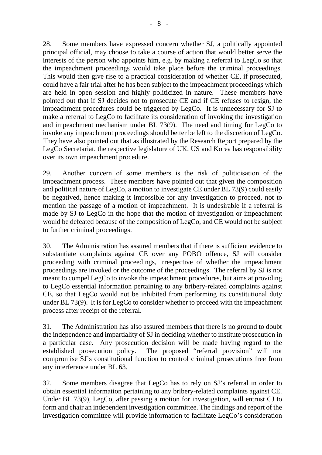28. Some members have expressed concern whether SJ, a politically appointed principal official, may choose to take a course of action that would better serve the interests of the person who appoints him, e.g. by making a referral to LegCo so that the impeachment proceedings would take place before the criminal proceedings. This would then give rise to a practical consideration of whether CE, if prosecuted, could have a fair trial after he has been subject to the impeachment proceedings which are held in open session and highly politicized in nature. These members have pointed out that if SJ decides not to prosecute CE and if CE refuses to resign, the impeachment procedures could be triggered by LegCo. It is unnecessary for SJ to make a referral to LegCo to facilitate its consideration of invoking the investigation and impeachment mechanism under BL 73(9). The need and timing for LegCo to invoke any impeachment proceedings should better be left to the discretion of LegCo. They have also pointed out that as illustrated by the Research Report prepared by the LegCo Secretariat, the respective legislature of UK, US and Korea has responsibility over its own impeachment procedure.

29. Another concern of some members is the risk of politicisation of the impeachment process. These members have pointed out that given the composition and political nature of LegCo, a motion to investigate CE under BL 73(9) could easily be negatived, hence making it impossible for any investigation to proceed, not to mention the passage of a motion of impeachment. It is undesirable if a referral is made by SJ to LegCo in the hope that the motion of investigation or impeachment would be defeated because of the composition of LegCo, and CE would not be subject to further criminal proceedings.

30. The Administration has assured members that if there is sufficient evidence to substantiate complaints against CE over any POBO offence, SJ will consider proceeding with criminal proceedings, irrespective of whether the impeachment proceedings are invoked or the outcome of the proceedings. The referral by SJ is not meant to compel LegCo to invoke the impeachment procedures, but aims at providing to LegCo essential information pertaining to any bribery-related complaints against CE, so that LegCo would not be inhibited from performing its constitutional duty under BL 73(9). It is for LegCo to consider whether to proceed with the impeachment process after receipt of the referral.

31. The Administration has also assured members that there is no ground to doubt the independence and impartiality of SJ in deciding whether to institute prosecution in a particular case. Any prosecution decision will be made having regard to the established prosecution policy. The proposed "referral provision" will not compromise SJ's constitutional function to control criminal prosecutions free from any interference under BL 63.

32. Some members disagree that LegCo has to rely on SJ's referral in order to obtain essential information pertaining to any bribery-related complaints against CE. Under BL 73(9), LegCo, after passing a motion for investigation, will entrust CJ to form and chair an independent investigation committee. The findings and report of the investigation committee will provide information to facilitate LegCo's consideration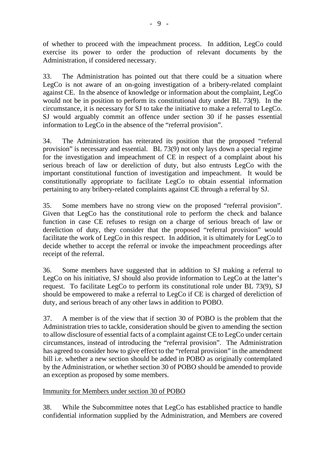of whether to proceed with the impeachment process. In addition, LegCo could exercise its power to order the production of relevant documents by the Administration, if considered necessary.

33. The Administration has pointed out that there could be a situation where LegCo is not aware of an on-going investigation of a bribery-related complaint against CE. In the absence of knowledge or information about the complaint, LegCo would not be in position to perform its constitutional duty under BL 73(9). In the circumstance, it is necessary for SJ to take the initiative to make a referral to LegCo. SJ would arguably commit an offence under section 30 if he passes essential information to LegCo in the absence of the "referral provision".

34. The Administration has reiterated its position that the proposed "referral provision" is necessary and essential. BL 73(9) not only lays down a special regime for the investigation and impeachment of CE in respect of a complaint about his serious breach of law or dereliction of duty, but also entrusts LegCo with the important constitutional function of investigation and impeachment. It would be constitutionally appropriate to facilitate LegCo to obtain essential information pertaining to any bribery-related complaints against CE through a referral by SJ.

35. Some members have no strong view on the proposed "referral provision". Given that LegCo has the constitutional role to perform the check and balance function in case CE refuses to resign on a charge of serious breach of law or dereliction of duty, they consider that the proposed "referral provision" would facilitate the work of LegCo in this respect. In addition, it is ultimately for LegCo to decide whether to accept the referral or invoke the impeachment proceedings after receipt of the referral.

36. Some members have suggested that in addition to SJ making a referral to LegCo on his initiative, SJ should also provide information to LegCo at the latter's request. To facilitate LegCo to perform its constitutional role under BL 73(9), SJ should be empowered to make a referral to LegCo if CE is charged of dereliction of duty, and serious breach of any other laws in addition to POBO.

37. A member is of the view that if section 30 of POBO is the problem that the Administration tries to tackle, consideration should be given to amending the section to allow disclosure of essential facts of a complaint against CE to LegCo under certain circumstances, instead of introducing the "referral provision". The Administration has agreed to consider how to give effect to the "referral provision" in the amendment bill i.e. whether a new section should be added in POBO as originally contemplated by the Administration, or whether section 30 of POBO should be amended to provide an exception as proposed by some members.

### Immunity for Members under section 30 of POBO

38. While the Subcommittee notes that LegCo has established practice to handle confidential information supplied by the Administration, and Members are covered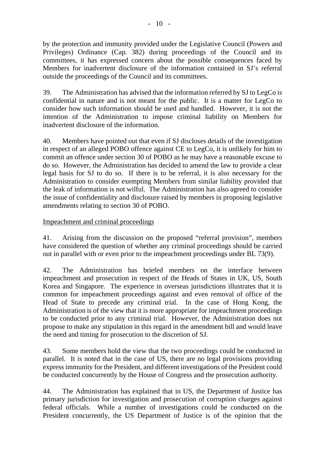by the protection and immunity provided under the Legislative Council (Powers and Privileges) Ordinance (Cap. 382) during proceedings of the Council and its committees, it has expressed concern about the possible consequences faced by Members for inadvertent disclosure of the information contained in SJ's referral outside the proceedings of the Council and its committees.

39. The Administration has advised that the information referred by SJ to LegCo is confidential in nature and is not meant for the public. It is a matter for LegCo to consider how such information should be used and handled. However, it is not the intention of the Administration to impose criminal liability on Members for inadvertent disclosure of the information.

40. Members have pointed out that even if SJ discloses details of the investigation in respect of an alleged POBO offence against CE to LegCo, it is unlikely for him to commit an offence under section 30 of POBO as he may have a reasonable excuse to do so. However, the Administration has decided to amend the law to provide a clear legal basis for SJ to do so. If there is to be referral, it is also necessary for the Administration to consider exempting Members from similar liability provided that the leak of information is not wilful. The Administration has also agreed to consider the issue of confidentiality and disclosure raised by members in proposing legislative amendments relating to section 30 of POBO.

Impeachment and criminal proceedings

41. Arising from the discussion on the proposed "referral provision", members have considered the question of whether any criminal proceedings should be carried out in parallel with or even prior to the impeachment proceedings under BL 73(9).

42. The Administration has briefed members on the interface between impeachment and prosecution in respect of the Heads of States in UK, US, South Korea and Singapore. The experience in overseas jurisdictions illustrates that it is common for impeachment proceedings against and even removal of office of the Head of State to precede any criminal trial. In the case of Hong Kong, the Administration is of the view that it is more appropriate for impeachment proceedings to be conducted prior to any criminal trial. However, the Administration does not propose to make any stipulation in this regard in the amendment bill and would leave the need and timing for prosecution to the discretion of SJ.

43. Some members hold the view that the two proceedings could be conducted in parallel. It is noted that in the case of US, there are no legal provisions providing express immunity for the President, and different investigations of the President could be conducted concurrently by the House of Congress and the prosecution authority.

44. The Administration has explained that in US, the Department of Justice has primary jurisdiction for investigation and prosecution of corruption charges against federal officials. While a number of investigations could be conducted on the President concurrently, the US Department of Justice is of the opinion that the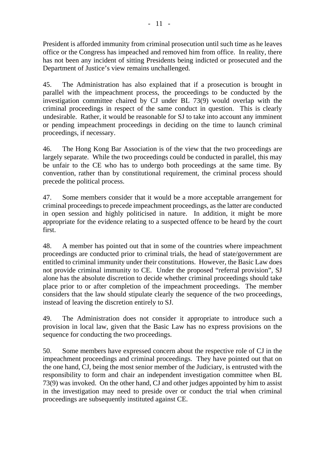President is afforded immunity from criminal prosecution until such time as he leaves office or the Congress has impeached and removed him from office. In reality, there has not been any incident of sitting Presidents being indicted or prosecuted and the Department of Justice's view remains unchallenged.

45. The Administration has also explained that if a prosecution is brought in parallel with the impeachment process, the proceedings to be conducted by the investigation committee chaired by CJ under BL 73(9) would overlap with the criminal proceedings in respect of the same conduct in question. This is clearly undesirable. Rather, it would be reasonable for SJ to take into account any imminent or pending impeachment proceedings in deciding on the time to launch criminal proceedings, if necessary.

46. The Hong Kong Bar Association is of the view that the two proceedings are largely separate. While the two proceedings could be conducted in parallel, this may be unfair to the CE who has to undergo both proceedings at the same time. By convention, rather than by constitutional requirement, the criminal process should precede the political process.

47. Some members consider that it would be a more acceptable arrangement for criminal proceedings to precede impeachment proceedings, as the latter are conducted in open session and highly politicised in nature. In addition, it might be more appropriate for the evidence relating to a suspected offence to be heard by the court first.

48. A member has pointed out that in some of the countries where impeachment proceedings are conducted prior to criminal trials, the head of state/government are entitled to criminal immunity under their constitutions. However, the Basic Law does not provide criminal immunity to CE. Under the proposed "referral provision", SJ alone has the absolute discretion to decide whether criminal proceedings should take place prior to or after completion of the impeachment proceedings. The member considers that the law should stipulate clearly the sequence of the two proceedings, instead of leaving the discretion entirely to SJ.

49. The Administration does not consider it appropriate to introduce such a provision in local law, given that the Basic Law has no express provisions on the sequence for conducting the two proceedings.

50. Some members have expressed concern about the respective role of CJ in the impeachment proceedings and criminal proceedings. They have pointed out that on the one hand, CJ, being the most senior member of the Judiciary, is entrusted with the responsibility to form and chair an independent investigation committee when BL 73(9) was invoked. On the other hand, CJ and other judges appointed by him to assist in the investigation may need to preside over or conduct the trial when criminal proceedings are subsequently instituted against CE.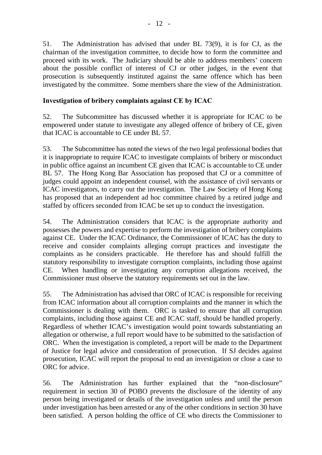51. The Administration has advised that under BL 73(9), it is for CJ, as the chairman of the investigation committee, to decide how to form the committee and proceed with its work. The Judiciary should be able to address members' concern about the possible conflict of interest of CJ or other judges, in the event that prosecution is subsequently instituted against the same offence which has been investigated by the committee. Some members share the view of the Administration.

# **Investigation of bribery complaints against CE by ICAC**

52. The Subcommittee has discussed whether it is appropriate for ICAC to be empowered under statute to investigate any alleged offence of bribery of CE, given that ICAC is accountable to CE under BL 57.

53. The Subcommittee has noted the views of the two legal professional bodies that it is inappropriate to require ICAC to investigate complaints of bribery or misconduct in public office against an incumbent CE given that ICAC is accountable to CE under BL 57. The Hong Kong Bar Association has proposed that CJ or a committee of judges could appoint an independent counsel, with the assistance of civil servants or ICAC investigators, to carry out the investigation. The Law Society of Hong Kong has proposed that an independent ad hoc committee chaired by a retired judge and staffed by officers seconded from ICAC be set up to conduct the investigation.

54. The Administration considers that ICAC is the appropriate authority and possesses the powers and expertise to perform the investigation of bribery complaints against CE. Under the ICAC Ordinance, the Commissioner of ICAC has the duty to receive and consider complaints alleging corrupt practices and investigate the complaints as he considers practicable. He therefore has and should fulfill the statutory responsibility to investigate corruption complaints, including those against CE. When handling or investigating any corruption allegations received, the Commissioner must observe the statutory requirements set out in the law.

55. The Administration has advised that ORC of ICAC is responsible for receiving from ICAC information about all corruption complaints and the manner in which the Commissioner is dealing with them. ORC is tasked to ensure that all corruption complaints, including those against CE and ICAC staff, should be handled properly. Regardless of whether ICAC's investigation would point towards substantiating an allegation or otherwise, a full report would have to be submitted to the satisfaction of ORC. When the investigation is completed, a report will be made to the Department of Justice for legal advice and consideration of prosecution. If SJ decides against prosecution, ICAC will report the proposal to end an investigation or close a case to ORC for advice.

56. The Administration has further explained that the "non-disclosure" requirement in section 30 of POBO prevents the disclosure of the identity of any person being investigated or details of the investigation unless and until the person under investigation has been arrested or any of the other conditions in section 30 have been satisfied. A person holding the office of CE who directs the Commissioner to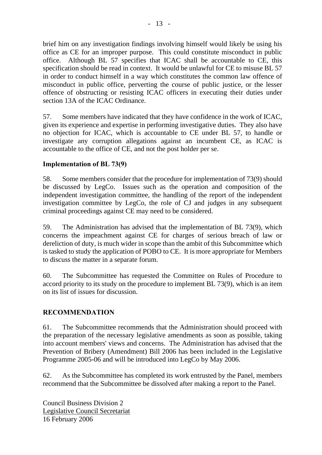brief him on any investigation findings involving himself would likely be using his office as CE for an improper purpose. This could constitute misconduct in public office. Although BL 57 specifies that ICAC shall be accountable to CE, this specification should be read in context. It would be unlawful for CE to misuse BL 57 in order to conduct himself in a way which constitutes the common law offence of misconduct in public office, perverting the course of public justice, or the lesser offence of obstructing or resisting ICAC officers in executing their duties under section 13A of the ICAC Ordinance.

57. Some members have indicated that they have confidence in the work of ICAC, given its experience and expertise in performing investigative duties. They also have no objection for ICAC, which is accountable to CE under BL 57, to handle or investigate any corruption allegations against an incumbent CE, as ICAC is accountable to the office of CE, and not the post holder per se.

# **Implementation of BL 73(9)**

58. Some members consider that the procedure for implementation of 73(9) should be discussed by LegCo. Issues such as the operation and composition of the independent investigation committee, the handling of the report of the independent investigation committee by LegCo, the role of CJ and judges in any subsequent criminal proceedings against CE may need to be considered.

59. The Administration has advised that the implementation of BL 73(9), which concerns the impeachment against CE for charges of serious breach of law or dereliction of duty, is much wider in scope than the ambit of this Subcommittee which is tasked to study the application of POBO to CE. It is more appropriate for Members to discuss the matter in a separate forum.

60. The Subcommittee has requested the Committee on Rules of Procedure to accord priority to its study on the procedure to implement BL 73(9), which is an item on its list of issues for discussion.

### **RECOMMENDATION**

61. The Subcommittee recommends that the Administration should proceed with the preparation of the necessary legislative amendments as soon as possible, taking into account members' views and concerns. The Administration has advised that the Prevention of Bribery (Amendment) Bill 2006 has been included in the Legislative Programme 2005-06 and will be introduced into LegCo by May 2006.

62. As the Subcommittee has completed its work entrusted by the Panel, members recommend that the Subcommittee be dissolved after making a report to the Panel.

Council Business Division 2 Legislative Council Secretariat 16 February 2006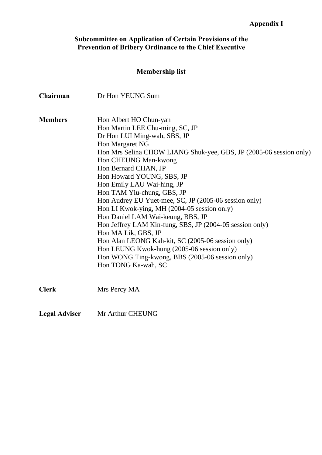#### **Subcommittee on Application of Certain Provisions of the Prevention of Bribery Ordinance to the Chief Executive**

# **Membership list**

| Chairman             | Dr Hon YEUNG Sum                                                   |  |  |  |  |
|----------------------|--------------------------------------------------------------------|--|--|--|--|
| <b>Members</b>       | Hon Albert HO Chun-yan                                             |  |  |  |  |
|                      | Hon Martin LEE Chu-ming, SC, JP                                    |  |  |  |  |
|                      | Dr Hon LUI Ming-wah, SBS, JP                                       |  |  |  |  |
|                      | Hon Margaret NG                                                    |  |  |  |  |
|                      | Hon Mrs Selina CHOW LIANG Shuk-yee, GBS, JP (2005-06 session only) |  |  |  |  |
|                      | Hon CHEUNG Man-kwong                                               |  |  |  |  |
|                      | Hon Bernard CHAN, JP                                               |  |  |  |  |
|                      | Hon Howard YOUNG, SBS, JP                                          |  |  |  |  |
|                      | Hon Emily LAU Wai-hing, JP                                         |  |  |  |  |
|                      | Hon TAM Yiu-chung, GBS, JP                                         |  |  |  |  |
|                      | Hon Audrey EU Yuet-mee, SC, JP (2005-06 session only)              |  |  |  |  |
|                      | Hon LI Kwok-ying, MH (2004-05 session only)                        |  |  |  |  |
|                      | Hon Daniel LAM Wai-keung, BBS, JP                                  |  |  |  |  |
|                      | Hon Jeffrey LAM Kin-fung, SBS, JP (2004-05 session only)           |  |  |  |  |
|                      | Hon MA Lik, GBS, JP                                                |  |  |  |  |
|                      | Hon Alan LEONG Kah-kit, SC (2005-06 session only)                  |  |  |  |  |
|                      | Hon LEUNG Kwok-hung (2005-06 session only)                         |  |  |  |  |
|                      | Hon WONG Ting-kwong, BBS (2005-06 session only)                    |  |  |  |  |
|                      | Hon TONG Ka-wah, SC                                                |  |  |  |  |
| <b>Clerk</b>         | Mrs Percy MA                                                       |  |  |  |  |
| <b>Legal Adviser</b> | Mr Arthur CHEUNG                                                   |  |  |  |  |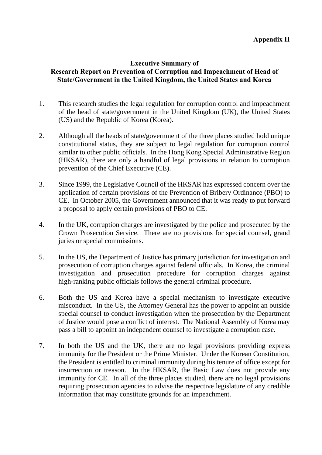## **Executive Summary of Research Report on Prevention of Corruption and Impeachment of Head of State/Government in the United Kingdom, the United States and Korea**

- 1. This research studies the legal regulation for corruption control and impeachment of the head of state/government in the United Kingdom (UK), the United States (US) and the Republic of Korea (Korea).
- 2. Although all the heads of state/government of the three places studied hold unique constitutional status, they are subject to legal regulation for corruption control similar to other public officials. In the Hong Kong Special Administrative Region (HKSAR), there are only a handful of legal provisions in relation to corruption prevention of the Chief Executive (CE).
- 3. Since 1999, the Legislative Council of the HKSAR has expressed concern over the application of certain provisions of the Prevention of Bribery Ordinance (PBO) to CE. In October 2005, the Government announced that it was ready to put forward a proposal to apply certain provisions of PBO to CE.
- 4. In the UK, corruption charges are investigated by the police and prosecuted by the Crown Prosecution Service. There are no provisions for special counsel, grand juries or special commissions.
- 5. In the US, the Department of Justice has primary jurisdiction for investigation and prosecution of corruption charges against federal officials. In Korea, the criminal investigation and prosecution procedure for corruption charges against high-ranking public officials follows the general criminal procedure.
- 6. Both the US and Korea have a special mechanism to investigate executive misconduct. In the US, the Attorney General has the power to appoint an outside special counsel to conduct investigation when the prosecution by the Department of Justice would pose a conflict of interest. The National Assembly of Korea may pass a bill to appoint an independent counsel to investigate a corruption case.
- 7. In both the US and the UK, there are no legal provisions providing express immunity for the President or the Prime Minister. Under the Korean Constitution, the President is entitled to criminal immunity during his tenure of office except for insurrection or treason. In the HKSAR, the Basic Law does not provide any immunity for CE. In all of the three places studied, there are no legal provisions requiring prosecution agencies to advise the respective legislature of any credible information that may constitute grounds for an impeachment.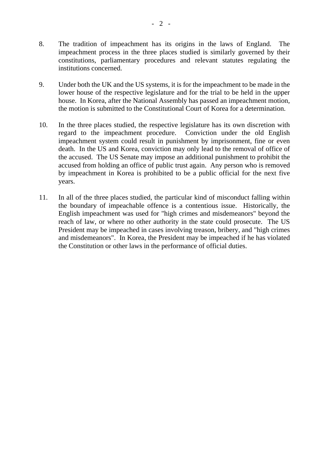- 8. The tradition of impeachment has its origins in the laws of England. The impeachment process in the three places studied is similarly governed by their constitutions, parliamentary procedures and relevant statutes regulating the institutions concerned.
- 9. Under both the UK and the US systems, it is for the impeachment to be made in the lower house of the respective legislature and for the trial to be held in the upper house. In Korea, after the National Assembly has passed an impeachment motion, the motion is submitted to the Constitutional Court of Korea for a determination.
- 10. In the three places studied, the respective legislature has its own discretion with regard to the impeachment procedure. Conviction under the old English impeachment system could result in punishment by imprisonment, fine or even death. In the US and Korea, conviction may only lead to the removal of office of the accused. The US Senate may impose an additional punishment to prohibit the accused from holding an office of public trust again. Any person who is removed by impeachment in Korea is prohibited to be a public official for the next five years.
- 11. In all of the three places studied, the particular kind of misconduct falling within the boundary of impeachable offence is a contentious issue. Historically, the English impeachment was used for "high crimes and misdemeanors" beyond the reach of law, or where no other authority in the state could prosecute. The US President may be impeached in cases involving treason, bribery, and "high crimes and misdemeanors". In Korea, the President may be impeached if he has violated the Constitution or other laws in the performance of official duties.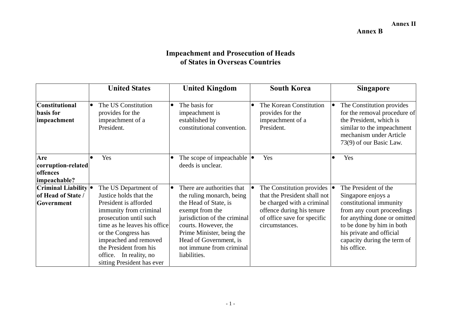#### **Annex II**

**Annex B** 

# **Impeachment and Prosecution of Heads of States in Overseas Countries**

|                                                          | <b>United States</b>                                                                                                                                                                                                                                                                          | <b>United Kingdom</b>                                                                                                                                                                                                                                          | <b>South Korea</b>                                                                                                                                                                  | <b>Singapore</b>                                                                                                                                                                                                                           |
|----------------------------------------------------------|-----------------------------------------------------------------------------------------------------------------------------------------------------------------------------------------------------------------------------------------------------------------------------------------------|----------------------------------------------------------------------------------------------------------------------------------------------------------------------------------------------------------------------------------------------------------------|-------------------------------------------------------------------------------------------------------------------------------------------------------------------------------------|--------------------------------------------------------------------------------------------------------------------------------------------------------------------------------------------------------------------------------------------|
| <b>Constitutional</b><br><b>basis</b> for<br>impeachment | The US Constitution<br>provides for the<br>impeachment of a<br>President.                                                                                                                                                                                                                     | The basis for<br>impeachment is<br>established by<br>constitutional convention.                                                                                                                                                                                | The Korean Constitution<br>provides for the<br>impeachment of a<br>President.                                                                                                       | The Constitution provides<br>$\bullet$<br>for the removal procedure of<br>the President, which is<br>similar to the impeachment<br>mechanism under Article<br>73(9) of our Basic Law.                                                      |
| Are<br>corruption-related<br>offences<br>impeachable?    | Yes                                                                                                                                                                                                                                                                                           | The scope of impeachable $  \bullet  $<br>deeds is unclear.                                                                                                                                                                                                    | Yes                                                                                                                                                                                 | Yes<br>$\bullet$                                                                                                                                                                                                                           |
| Criminal Liability .<br>of Head of State /<br>Government | The US Department of<br>Justice holds that the<br>President is afforded<br>immunity from criminal<br>prosecution until such<br>time as he leaves his office<br>or the Congress has<br>impeached and removed<br>the President from his<br>office. In reality, no<br>sitting President has ever | There are authorities that<br>the ruling monarch, being<br>the Head of State, is<br>exempt from the<br>jurisdiction of the criminal<br>courts. However, the<br>Prime Minister, being the<br>Head of Government, is<br>not immune from criminal<br>liabilities. | The Constitution provides $  \bullet  $<br>that the President shall not<br>be charged with a criminal<br>offence during his tenure<br>of office save for specific<br>circumstances. | The President of the<br>Singapore enjoys a<br>constitutional immunity<br>from any court proceedings<br>for anything done or omitted<br>to be done by him in both<br>his private and official<br>capacity during the term of<br>his office. |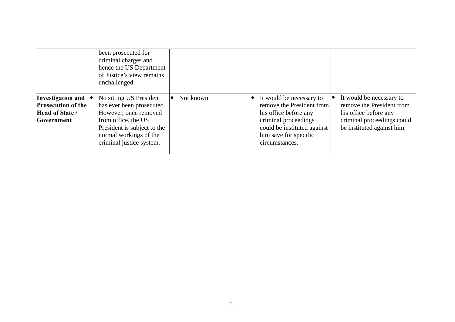|                                                                                        | been prosecuted for<br>criminal charges and<br>hence the US Department<br>of Justice's view remains<br>unchallenged.                                                                      |           |                                                                                                                                                                                  |                                                                                                                                            |
|----------------------------------------------------------------------------------------|-------------------------------------------------------------------------------------------------------------------------------------------------------------------------------------------|-----------|----------------------------------------------------------------------------------------------------------------------------------------------------------------------------------|--------------------------------------------------------------------------------------------------------------------------------------------|
| Investigation and<br><b>Prosecution of the</b><br>Head of State /<br><b>Government</b> | No sitting US President<br>has ever been prosecuted.<br>However, once removed<br>from office, the US<br>President is subject to the<br>normal workings of the<br>criminal justice system. | Not known | It would be necessary to<br>remove the President from<br>his office before any<br>criminal proceedings<br>could be instituted against<br>him save for specific<br>circumstances. | It would be necessary to<br>remove the President from<br>his office before any<br>criminal proceedings could<br>be instituted against him. |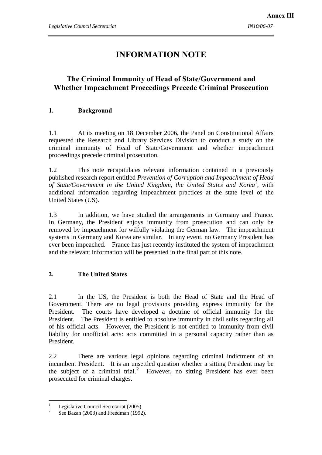# **INFORMATION NOTE**

# **The Criminal Immunity of Head of State/Government and Whether Impeachment Proceedings Precede Criminal Prosecution**

#### **1. Background**

1.1 At its meeting on 18 December 2006, the Panel on Constitutional Affairs requested the Research and Library Services Division to conduct a study on the criminal immunity of Head of State/Government and whether impeachment proceedings precede criminal prosecution.

1.2 This note recapitulates relevant information contained in a previously published research report entitled *Prevention of Corruption and Impeachment of Head*  of State/Government in the United Kingdom, the United States and Korea<sup>1</sup>, with additional information regarding impeachment practices at the state level of the United States (US).

1.3 In addition, we have studied the arrangements in Germany and France. In Germany, the President enjoys immunity from prosecution and can only be removed by impeachment for wilfully violating the German law. The impeachment systems in Germany and Korea are similar. In any event, no Germany President has ever been impeached. France has just recently instituted the system of impeachment and the relevant information will be presented in the final part of this note.

#### **2. The United States**

2.1 In the US, the President is both the Head of State and the Head of Government. There are no legal provisions providing express immunity for the President. The courts have developed a doctrine of official immunity for the President. The President is entitled to absolute immunity in civil suits regarding all of his official acts. However, the President is not entitled to immunity from civil liability for unofficial acts: acts committed in a personal capacity rather than as President.

2.2 There are various legal opinions regarding criminal indictment of an incumbent President. It is an unsettled question whether a sitting President may be the subject of a criminal trial.<sup>2</sup> However, no sitting President has ever been prosecuted for criminal charges.

 $\overline{a}$ 

<sup>1</sup> Legislative Council Secretariat (2005).

<sup>2</sup> See Bazan (2003) and Freedman (1992).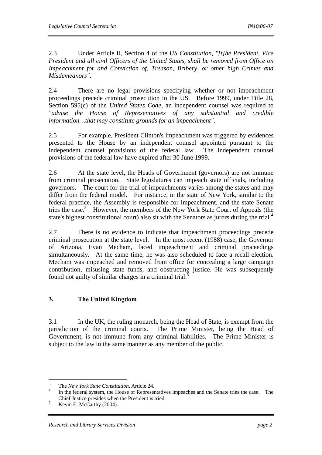2.3 Under Article II, Section 4 of the *US Constitution*, *"[t]he President, Vice President and all civil Officers of the United States, shall be removed from Office on Impeachment for and Conviction of, Treason, Bribery, or other high Crimes and Misdemeanors"*.

2.4 There are no legal provisions specifying whether or not impeachment proceedings precede criminal prosecution in the US. Before 1999, under Title 28, Section 595(c) of the *United States Code*, an independent counsel was required to *"advise the House of Representatives of any substantial and credible information…that may constitute grounds for an impeachment"*.

2.5 For example, President Clinton's impeachment was triggered by evidences presented to the House by an independent counsel appointed pursuant to the independent counsel provisions of the federal law. The independent counsel provisions of the federal law have expired after 30 June 1999.

2.6 At the state level, the Heads of Government (governors) are not immune from criminal prosecution. State legislatures can impeach state officials, including governors. The court for the trial of impeachments varies among the states and may differ from the federal model. For instance, in the state of New York, similar to the federal practice, the Assembly is responsible for impeachment, and the state Senate tries the case.<sup>3</sup> However, the members of the New York State Court of Appeals (the state's highest constitutional court) also sit with the Senators as jurors during the trial.<sup>4</sup>

2.7 There is no evidence to indicate that impeachment proceedings precede criminal prosecution at the state level. In the most recent (1988) case, the Governor of Arizona, Evan Mecham, faced impeachment and criminal proceedings simultaneously. At the same time, he was also scheduled to face a recall election. Mecham was impeached and removed from office for concealing a large campaign contribution, misusing state funds, and obstructing justice. He was subsequently found not guilty of similar charges in a criminal trial. $\dot{\mathbf{5}}$ 

#### **3. The United Kingdom**

3.1 In the UK, the ruling monarch, being the Head of State, is exempt from the jurisdiction of the criminal courts. The Prime Minister, being the Head of Government, is not immune from any criminal liabilities. The Prime Minister is subject to the law in the same manner as any member of the public.

<sup>&</sup>lt;sup>2</sup><br>3 <sup>3</sup> The *New York State Constitution*, Article 24.

In the federal system, the House of Representatives impeaches and the Senate tries the case. The Chief Justice presides when the President is tried.<br> $V_{\text{scrit}} = M_{\text{S}} \text{Cerhe} (2004)$ 

Kevin E. McCarthy (2004).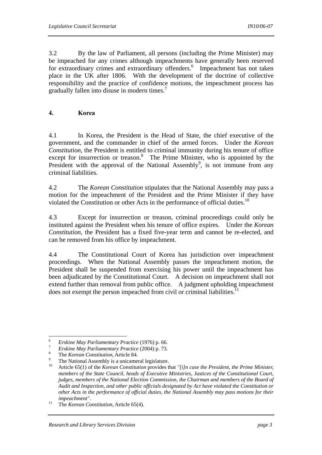3.2 By the law of Parliament, all persons (including the Prime Minister) may be impeached for any crimes although impeachments have generally been reserved for extraordinary crimes and extraordinary offenders.<sup>6</sup> Impeachment has not taken place in the UK after 1806. With the development of the doctrine of collective responsibility and the practice of confidence motions, the impeachment process has gradually fallen into disuse in modern times.<sup>7</sup>

#### **4. Korea**

4.1 In Korea, the President is the Head of State, the chief executive of the government, and the commander in chief of the armed forces. Under the *Korean Constitution*, the President is entitled to criminal immunity during his tenure of office except for insurrection or treason. $8$  The Prime Minister, who is appointed by the President with the approval of the National Assembly<sup>9</sup>, is not immune from any criminal liabilities.

4.2 The *Korean Constitution* stipulates that the National Assembly may pass a motion for the impeachment of the President and the Prime Minister if they have violated the Constitution or other Acts in the performance of official duties.<sup>10</sup>

4.3 Except for insurrection or treason, criminal proceedings could only be instituted against the President when his tenure of office expires. Under the *Korean Constitution*, the President has a fixed five-year term and cannot be re-elected, and can be removed from his office by impeachment.

4.4 The Constitutional Court of Korea has jurisdiction over impeachment proceedings. When the National Assembly passes the impeachment motion, the President shall be suspended from exercising his power until the impeachment has been adjudicated by the Constitutional Court. A decision on impeachment shall not extend further than removal from public office. A judgment upholding impeachment does not exempt the person impeached from civil or criminal liabilities.<sup>11</sup>

<sup>6</sup> 

<sup>6</sup> *Erskine May Parliamentary Practice* (1976) p. 66. 7 *Erskine May Parliamentary Practice* (2004) p. 73. 8

<sup>&</sup>lt;sup>8</sup> The *Korean Constitution*, Article 84.

<sup>&</sup>lt;sup>9</sup> The National Assembly is a unicameral legislature.

<sup>10</sup> Article 65(1) of the *Korean Constitution* provides that *"[i]n case the President, the Prime Minister, members of the State Council, heads of Executive Ministries, Justices of the Constitutional Court, judges, members of the National Election Commission, the Chairman and members of the Board of Audit and Inspection, and other public officials designated by Act have violated the Constitution or other Acts in the performance of official duties, the National Assembly may pass motions for their* 

*impeachment"*. 11 The *Korean Constitution*, Article 65(4).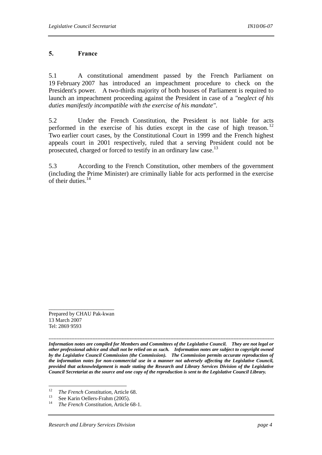#### **5. France**

5.1 A constitutional amendment passed by the French Parliament on 19 February 2007 has introduced an impeachment procedure to check on the President's power. A two-thirds majority of both houses of Parliament is required to launch an impeachment proceeding against the President in case of a *"neglect of his duties manifestly incompatible with the exercise of his mandate"*.

5.2 Under the French Constitution, the President is not liable for acts performed in the exercise of his duties except in the case of high treason.<sup>12</sup> Two earlier court cases, by the Constitutional Court in 1999 and the French highest appeals court in 2001 respectively, ruled that a serving President could not be prosecuted, charged or forced to testify in an ordinary law case.<sup>13</sup>

5.3 According to the French Constitution, other members of the government (including the Prime Minister) are criminally liable for acts performed in the exercise of their duties.14

\_\_\_\_\_\_\_\_\_\_\_\_\_\_\_\_\_\_\_\_\_\_ Prepared by CHAU Pak-kwan 13 March 2007 Tel: 2869 9593

*------------------------------------------------------------------------------------------------------------------------------------------- Information notes are compiled for Members and Committees of the Legislative Council. They are not legal or other professional advice and shall not be relied on as such. Information notes are subject to copyright owned by the Legislative Council Commission (the Commission). The Commission permits accurate reproduction of the information notes for non-commercial use in a manner not adversely affecting the Legislative Council, provided that acknowledgement is made stating the Research and Library Services Division of the Legislative Council Secretariat as the source and one copy of the reproduction is sent to the Legislative Council Library.*

 $12$ 

<sup>&</sup>lt;sup>12</sup> *The French Constitution*, Article 68.<br><sup>13</sup> See Karin Oellers-Frahm (2005).<br><sup>14</sup> *The Franch Constitution* Article 68.

<sup>14</sup> *The French Constitution*, Article 68-1.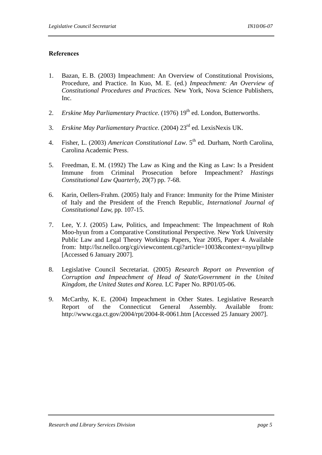#### **References**

- 1. Bazan, E. B. (2003) Impeachment: An Overview of Constitutional Provisions, Procedure, and Practice. In Kuo, M. E. (ed.) *Impeachment: An Overview of Constitutional Procedures and Practices.* New York, Nova Science Publishers, Inc.
- 2. *Erskine May Parliamentary Practice.* (1976) 19<sup>th</sup> ed. London, Butterworths.
- 3. *Erskine May Parliamentary Practice*. (2004) 23rd ed. LexisNexis UK.
- 4. Fisher, L. (2003) *American Constitutional Law*. 5<sup>th</sup> ed. Durham, North Carolina, Carolina Academic Press.
- 5. Freedman, E. M. (1992) The Law as King and the King as Law: Is a President Immune from Criminal Prosecution before Impeachment? *Hastings Constitutional Law Quarterly,* 20(7) pp. 7-68.
- 6. Karin, Oellers-Frahm. (2005) Italy and France: Immunity for the Prime Minister of Italy and the President of the French Republic, *International Journal of Constitutional Law,* pp. 107-15.
- 7. Lee, Y. J. (2005) Law, Politics, and Impeachment: The Impeachment of Roh Moo-hyun from a Comparative Constitutional Perspective*.* New York University Public Law and Legal Theory Workings Papers, Year 2005, Paper 4. Available from: http://lsr.nellco.org/cgi/viewcontent.cgi?article=1003&context=nyu/plltwp [Accessed 6 January 2007].
- 8. Legislative Council Secretariat. (2005) *Research Report on Prevention of Corruption and Impeachment of Head of State/Government in the United Kingdom, the United States and Korea.* LC Paper No. RP01/05-06.
- 9. McCarthy, K. E. (2004) Impeachment in Other States. Legislative Research Report of the Connecticut General Assembly. Available from: http://www.cga.ct.gov/2004/rpt/2004-R-0061.htm [Accessed 25 January 2007].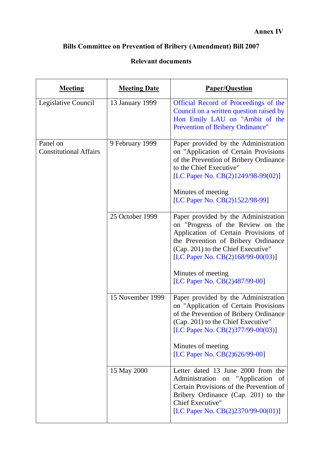# **Bills Committee on Prevention of Bribery (Amendment) Bill 2007**

# **Relevant documents**

| <b>Meeting</b>                            | <b>Meeting Date</b> | <b>Paper/Question</b>                                                                                                                                                                                                                                                                         |
|-------------------------------------------|---------------------|-----------------------------------------------------------------------------------------------------------------------------------------------------------------------------------------------------------------------------------------------------------------------------------------------|
| Legislative Council                       | 13 January 1999     | Official Record of Proceedings of the<br>Council on a written question raised by<br>Hon Emily LAU on "Ambit of the<br>Prevention of Bribery Ordinance"                                                                                                                                        |
| Panel on<br><b>Constitutional Affairs</b> | 9 February 1999     | Paper provided by the Administration<br>on "Application of Certain Provisions<br>of the Prevention of Bribery Ordinance<br>to the Chief Executive"<br>[LC Paper No. CB(2)1249/98-99(02)]<br>Minutes of meeting<br>[LC Paper No. CB(2)1522/98-99]                                              |
|                                           | 25 October 1999     | Paper provided by the Administration<br>on "Progress of the Review on the<br>Application of Certain Provisions of<br>the Prevention of Bribery Ordinance<br>(Cap. 201) to the Chief Executive"<br>[LC Paper No. $CB(2)168/99-00(03)$ ]<br>Minutes of meeting<br>[LC Paper No. CB(2)487/99-00] |
|                                           | 15 November 1999    | Paper provided by the Administration<br>on "Application of Certain Provisions<br>of the Prevention of Bribery Ordinance<br>(Cap. 201) to the Chief Executive"<br>[LC Paper No. $CB(2)377/99-00(03)$ ]<br>Minutes of meeting<br>[LC Paper No. CB(2)626/99-00]                                  |
|                                           | 15 May 2000         | Letter dated 13 June 2000 from the<br>Administration on "Application<br>- of<br>Certain Provisions of the Prevention of<br>Bribery Ordinance (Cap. 201) to the<br>Chief Executive"<br>[LC Paper No. CB(2)2370/99-00(01)]                                                                      |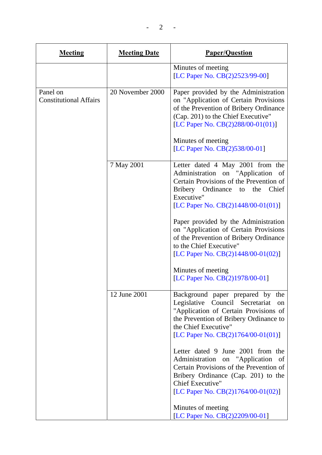$- 2 - -$ 

| <b>Meeting</b>                            | <b>Meeting Date</b> | <b>Paper/Question</b>                                                                                                                                                                                                                                                                                                                                                                                                                                                  |
|-------------------------------------------|---------------------|------------------------------------------------------------------------------------------------------------------------------------------------------------------------------------------------------------------------------------------------------------------------------------------------------------------------------------------------------------------------------------------------------------------------------------------------------------------------|
|                                           |                     | Minutes of meeting<br>[LC Paper No. CB(2)2523/99-00]                                                                                                                                                                                                                                                                                                                                                                                                                   |
| Panel on<br><b>Constitutional Affairs</b> | 20 November 2000    | Paper provided by the Administration<br>on "Application of Certain Provisions<br>of the Prevention of Bribery Ordinance<br>(Cap. 201) to the Chief Executive"<br>[LC Paper No. CB(2)288/00-01(01)]<br>Minutes of meeting<br>[LC Paper No. CB(2)538/00-01]                                                                                                                                                                                                              |
|                                           | 7 May 2001          | Letter dated 4 May 2001 from the<br>Administration on "Application<br>of<br>Certain Provisions of the Prevention of<br>Chief<br>Bribery Ordinance<br>the<br>to<br>Executive"<br>[LC Paper No. CB(2)1448/00-01(01)]<br>Paper provided by the Administration<br>on "Application of Certain Provisions<br>of the Prevention of Bribery Ordinance<br>to the Chief Executive"<br>[LC Paper No. CB(2)1448/00-01(02)]<br>Minutes of meeting<br>[LC Paper No. CB(2)1978/00-01] |
|                                           | 12 June 2001        | Background paper prepared by the<br>Legislative<br>Council Secretariat<br>on<br>"Application of Certain Provisions of<br>the Prevention of Bribery Ordinance to<br>the Chief Executive"<br>[LC Paper No. CB(2)1764/00-01(01)]<br>Letter dated 9 June 2001 from the<br>Administration on "Application<br>- of<br>Certain Provisions of the Prevention of<br>Bribery Ordinance (Cap. 201) to the<br><b>Chief Executive"</b><br>[LC Paper No. CB(2)1764/00-01(02)]        |
|                                           |                     | Minutes of meeting<br>[LC Paper No. CB(2)2209/00-01]                                                                                                                                                                                                                                                                                                                                                                                                                   |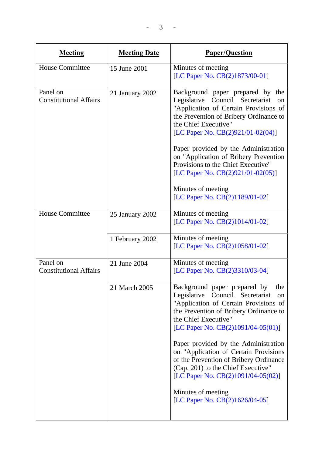$- 3 - -$ 

| <b>Meeting</b>                            | <b>Meeting Date</b> | <b>Paper/Question</b>                                                                                                                                                                                                                                                                                                                                                                                                                                                                           |
|-------------------------------------------|---------------------|-------------------------------------------------------------------------------------------------------------------------------------------------------------------------------------------------------------------------------------------------------------------------------------------------------------------------------------------------------------------------------------------------------------------------------------------------------------------------------------------------|
| <b>House Committee</b>                    | 15 June 2001        | Minutes of meeting<br>[LC Paper No. CB(2)1873/00-01]                                                                                                                                                                                                                                                                                                                                                                                                                                            |
| Panel on<br><b>Constitutional Affairs</b> | 21 January 2002     | Background paper prepared by the<br>Council Secretariat<br>Legislative<br><sub>on</sub><br>"Application of Certain Provisions of<br>the Prevention of Bribery Ordinance to<br>the Chief Executive"<br>[LC Paper No. CB(2)921/01-02(04)]<br>Paper provided by the Administration<br>on "Application of Bribery Prevention<br>Provisions to the Chief Executive"<br>[LC Paper No. $CB(2)921/01-02(05)$ ]<br>Minutes of meeting<br>[LC Paper No. CB(2)1189/01-02]                                  |
| <b>House Committee</b>                    | 25 January 2002     | Minutes of meeting<br>[LC Paper No. CB(2)1014/01-02]                                                                                                                                                                                                                                                                                                                                                                                                                                            |
|                                           | 1 February 2002     | Minutes of meeting<br>[LC Paper No. CB(2)1058/01-02]                                                                                                                                                                                                                                                                                                                                                                                                                                            |
| Panel on<br><b>Constitutional Affairs</b> | 21 June 2004        | Minutes of meeting<br>[LC Paper No. CB(2)3310/03-04]                                                                                                                                                                                                                                                                                                                                                                                                                                            |
|                                           | 21 March 2005       | Background paper prepared by<br>the<br>Legislative<br>Council Secretariat<br>on<br>"Application of Certain Provisions of<br>the Prevention of Bribery Ordinance to<br>the Chief Executive"<br>[LC Paper No. CB(2)1091/04-05(01)]<br>Paper provided by the Administration<br>on "Application of Certain Provisions<br>of the Prevention of Bribery Ordinance<br>(Cap. 201) to the Chief Executive"<br>[LC Paper No. CB(2)1091/04-05(02)]<br>Minutes of meeting<br>[LC Paper No. CB(2)1626/04-05] |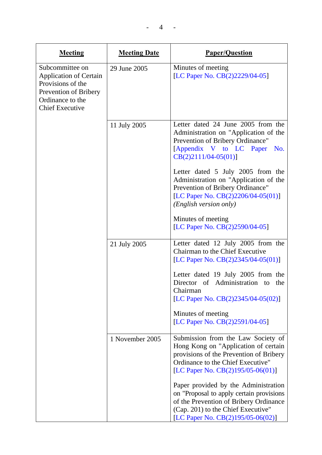| <b>Meeting</b>                                                                                                                               | <b>Meeting Date</b> | <b>Paper/Question</b>                                                                                                                                                                                 |
|----------------------------------------------------------------------------------------------------------------------------------------------|---------------------|-------------------------------------------------------------------------------------------------------------------------------------------------------------------------------------------------------|
| Subcommittee on<br><b>Application of Certain</b><br>Provisions of the<br>Prevention of Bribery<br>Ordinance to the<br><b>Chief Executive</b> | 29 June 2005        | Minutes of meeting<br>[LC Paper No. CB(2)2229/04-05]                                                                                                                                                  |
|                                                                                                                                              | 11 July 2005        | Letter dated 24 June 2005 from the<br>Administration on "Application of the<br>Prevention of Bribery Ordinance"<br>[Appendix V to LC Paper<br>No.<br>$CB(2)2111/04-05(01)]$                           |
|                                                                                                                                              |                     | Letter dated 5 July 2005 from the<br>Administration on "Application of the<br>Prevention of Bribery Ordinance"<br>[LC Paper No. CB(2)2206/04-05(01)]<br>( <i>English version only</i> )               |
|                                                                                                                                              |                     | Minutes of meeting<br>[LC Paper No. CB(2)2590/04-05]                                                                                                                                                  |
|                                                                                                                                              | 21 July 2005        | Letter dated 12 July 2005 from the<br>Chairman to the Chief Executive<br>[LC Paper No. CB(2)2345/04-05(01)]                                                                                           |
|                                                                                                                                              |                     | Letter dated 19 July 2005 from the<br>Director of Administration to<br>the<br>Chairman<br>[LC Paper No. CB(2)2345/04-05(02)]                                                                          |
|                                                                                                                                              |                     | Minutes of meeting<br>[LC Paper No. CB(2)2591/04-05]                                                                                                                                                  |
|                                                                                                                                              | 1 November 2005     | Submission from the Law Society of<br>Hong Kong on "Application of certain<br>provisions of the Prevention of Bribery<br>Ordinance to the Chief Executive"<br>[LC Paper No. $CB(2)195/05-06(01)$ ]    |
|                                                                                                                                              |                     | Paper provided by the Administration<br>on "Proposal to apply certain provisions<br>of the Prevention of Bribery Ordinance<br>(Cap. 201) to the Chief Executive"<br>[LC Paper No. CB(2)195/05-06(02)] |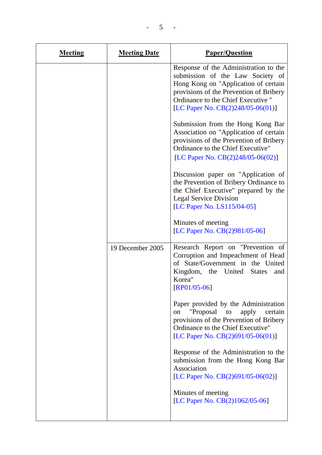| <b>Meeting</b> | <b>Meeting Date</b> | <b>Paper/Question</b>                                                                                                                                                                                                                      |
|----------------|---------------------|--------------------------------------------------------------------------------------------------------------------------------------------------------------------------------------------------------------------------------------------|
|                |                     | Response of the Administration to the<br>submission of the Law Society of<br>Hong Kong on "Application of certain<br>provisions of the Prevention of Bribery<br>Ordinance to the Chief Executive "<br>[LC Paper No. $CB(2)248/05-06(01)$ ] |
|                |                     | Submission from the Hong Kong Bar<br>Association on "Application of certain<br>provisions of the Prevention of Bribery<br>Ordinance to the Chief Executive"<br>[LC Paper No. $CB(2)248/05-06(02)$ ]                                        |
|                |                     | Discussion paper on "Application of<br>the Prevention of Bribery Ordinance to<br>the Chief Executive" prepared by the<br><b>Legal Service Division</b><br>[LC Paper No. LS115/04-05]                                                       |
|                |                     | Minutes of meeting<br>[LC Paper No. CB(2)981/05-06]                                                                                                                                                                                        |
|                | 19 December 2005    | Research Report on "Prevention of<br>Corruption and Impeachment of Head<br>of State/Government in the United<br>Kingdom,<br>the United<br><b>States</b><br>and<br>Korea"<br>$[RP01/05-06]$                                                 |
|                |                     | Paper provided by the Administration<br>"Proposal<br>apply<br>certain<br>to<br>on<br>provisions of the Prevention of Bribery<br>Ordinance to the Chief Executive"<br>[LC Paper No. $CB(2)691/05-06(01)$ ]                                  |
|                |                     | Response of the Administration to the<br>submission from the Hong Kong Bar<br>Association<br>[LC Paper No. $CB(2)691/05-06(02)$ ]                                                                                                          |
|                |                     | Minutes of meeting<br>[LC Paper No. CB(2)1062/05-06]                                                                                                                                                                                       |